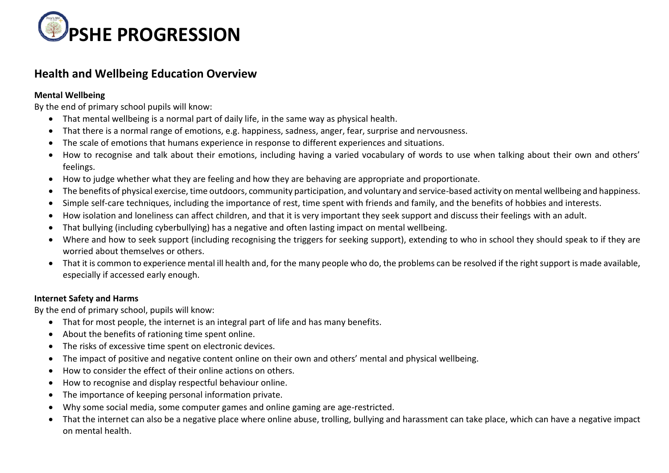

# **Health and Wellbeing Education Overview**

## **Mental Wellbeing**

By the end of primary school pupils will know:

- That mental wellbeing is a normal part of daily life, in the same way as physical health.
- That there is a normal range of emotions, e.g. happiness, sadness, anger, fear, surprise and nervousness.
- The scale of emotions that humans experience in response to different experiences and situations.
- How to recognise and talk about their emotions, including having a varied vocabulary of words to use when talking about their own and others' feelings.
- How to judge whether what they are feeling and how they are behaving are appropriate and proportionate.
- The benefits of physical exercise, time outdoors, community participation, and voluntary and service-based activity on mental wellbeing and happiness.
- Simple self-care techniques, including the importance of rest, time spent with friends and family, and the benefits of hobbies and interests.
- How isolation and loneliness can affect children, and that it is very important they seek support and discuss their feelings with an adult.
- That bullying (including cyberbullying) has a negative and often lasting impact on mental wellbeing.
- Where and how to seek support (including recognising the triggers for seeking support), extending to who in school they should speak to if they are worried about themselves or others.
- That it is common to experience mental ill health and, for the many people who do, the problems can be resolved if the right support is made available, especially if accessed early enough.

### **Internet Safety and Harms**

- That for most people, the internet is an integral part of life and has many benefits.
- About the benefits of rationing time spent online.
- The risks of excessive time spent on electronic devices.
- The impact of positive and negative content online on their own and others' mental and physical wellbeing.
- How to consider the effect of their online actions on others.
- How to recognise and display respectful behaviour online.
- The importance of keeping personal information private.
- Why some social media, some computer games and online gaming are age-restricted.
- That the internet can also be a negative place where online abuse, trolling, bullying and harassment can take place, which can have a negative impact on mental health.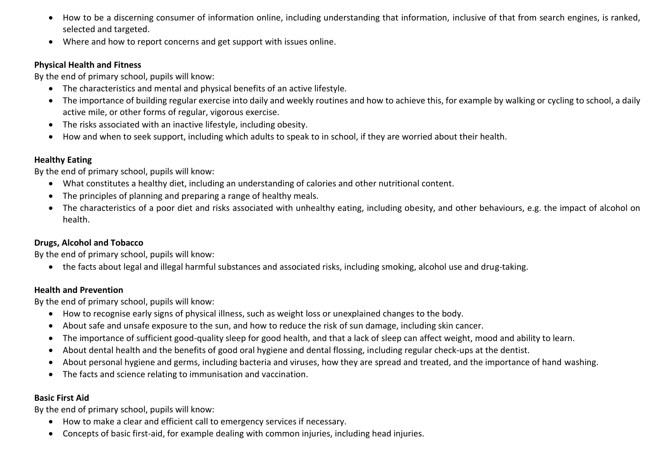- How to be a discerning consumer of information online, including understanding that information, inclusive of that from search engines, is ranked, selected and targeted.
- Where and how to report concerns and get support with issues online.

## **Physical Health and Fitness**

By the end of primary school, pupils will know:

- The characteristics and mental and physical benefits of an active lifestyle.
- The importance of building regular exercise into daily and weekly routines and how to achieve this, for example by walking or cycling to school, a daily active mile, or other forms of regular, vigorous exercise.
- The risks associated with an inactive lifestyle, including obesity.
- How and when to seek support, including which adults to speak to in school, if they are worried about their health.

# **Healthy Eating**

By the end of primary school, pupils will know:

- What constitutes a healthy diet, including an understanding of calories and other nutritional content.
- The principles of planning and preparing a range of healthy meals.
- The characteristics of a poor diet and risks associated with unhealthy eating, including obesity, and other behaviours, e.g. the impact of alcohol on health.

# **Drugs, Alcohol and Tobacco**

By the end of primary school, pupils will know:

• the facts about legal and illegal harmful substances and associated risks, including smoking, alcohol use and drug-taking.

## **Health and Prevention**

By the end of primary school, pupils will know:

- How to recognise early signs of physical illness, such as weight loss or unexplained changes to the body.
- About safe and unsafe exposure to the sun, and how to reduce the risk of sun damage, including skin cancer.
- The importance of sufficient good-quality sleep for good health, and that a lack of sleep can affect weight, mood and ability to learn.
- About dental health and the benefits of good oral hygiene and dental flossing, including regular check-ups at the dentist.
- About personal hygiene and germs, including bacteria and viruses, how they are spread and treated, and the importance of hand washing.
- The facts and science relating to immunisation and vaccination.

## **Basic First Aid**

- How to make a clear and efficient call to emergency services if necessary.
- Concepts of basic first-aid, for example dealing with common injuries, including head injuries.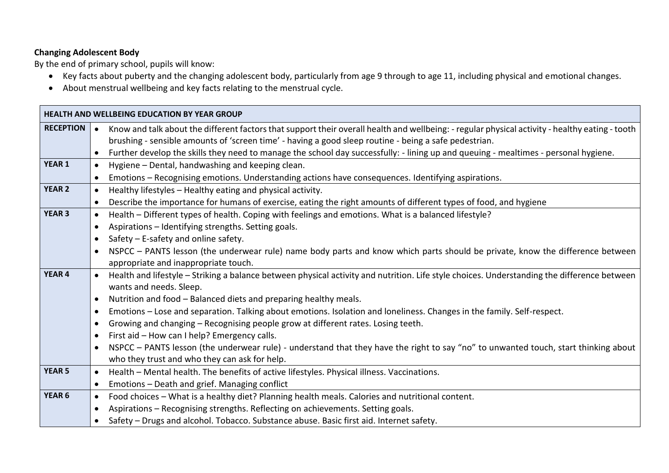# **Changing Adolescent Body**

- Key facts about puberty and the changing adolescent body, particularly from age 9 through to age 11, including physical and emotional changes.
- About menstrual wellbeing and key facts relating to the menstrual cycle.

| <b>HEALTH AND WELLBEING EDUCATION BY YEAR GROUP</b> |                                                                                                                                                          |  |
|-----------------------------------------------------|----------------------------------------------------------------------------------------------------------------------------------------------------------|--|
| <b>RECEPTION</b>                                    | Know and talk about the different factors that support their overall health and wellbeing: - regular physical activity - healthy eating - tooth          |  |
|                                                     | brushing - sensible amounts of 'screen time' - having a good sleep routine - being a safe pedestrian.                                                    |  |
|                                                     | Further develop the skills they need to manage the school day successfully: - lining up and queuing - mealtimes - personal hygiene.<br>٠                 |  |
| <b>YEAR 1</b>                                       | Hygiene - Dental, handwashing and keeping clean.<br>$\bullet$                                                                                            |  |
|                                                     | Emotions – Recognising emotions. Understanding actions have consequences. Identifying aspirations.<br>٠                                                  |  |
| <b>YEAR 2</b>                                       | Healthy lifestyles - Healthy eating and physical activity.<br>$\bullet$                                                                                  |  |
|                                                     | Describe the importance for humans of exercise, eating the right amounts of different types of food, and hygiene<br>٠                                    |  |
| <b>YEAR 3</b>                                       | Health - Different types of health. Coping with feelings and emotions. What is a balanced lifestyle?<br>٠                                                |  |
|                                                     | Aspirations - Identifying strengths. Setting goals.<br>$\bullet$                                                                                         |  |
|                                                     | Safety - E-safety and online safety.<br>$\bullet$                                                                                                        |  |
|                                                     | NSPCC – PANTS lesson (the underwear rule) name body parts and know which parts should be private, know the difference between<br>$\bullet$               |  |
|                                                     | appropriate and inappropriate touch.                                                                                                                     |  |
| <b>YEAR 4</b>                                       | Health and lifestyle - Striking a balance between physical activity and nutrition. Life style choices. Understanding the difference between<br>$\bullet$ |  |
|                                                     | wants and needs. Sleep.                                                                                                                                  |  |
|                                                     | Nutrition and food - Balanced diets and preparing healthy meals.<br>٠                                                                                    |  |
|                                                     | Emotions - Lose and separation. Talking about emotions. Isolation and loneliness. Changes in the family. Self-respect.<br>٠                              |  |
|                                                     | Growing and changing - Recognising people grow at different rates. Losing teeth.<br>٠                                                                    |  |
|                                                     | First aid - How can I help? Emergency calls.<br>$\bullet$                                                                                                |  |
|                                                     | NSPCC - PANTS lesson (the underwear rule) - understand that they have the right to say "no" to unwanted touch, start thinking about<br>٠                 |  |
|                                                     | who they trust and who they can ask for help.                                                                                                            |  |
| <b>YEAR 5</b>                                       | Health - Mental health. The benefits of active lifestyles. Physical illness. Vaccinations.<br>$\bullet$                                                  |  |
|                                                     | Emotions - Death and grief. Managing conflict<br>$\bullet$                                                                                               |  |
| YEAR <sub>6</sub>                                   | Food choices - What is a healthy diet? Planning health meals. Calories and nutritional content.<br>$\bullet$                                             |  |
|                                                     | Aspirations - Recognising strengths. Reflecting on achievements. Setting goals.<br>٠                                                                     |  |
|                                                     | Safety - Drugs and alcohol. Tobacco. Substance abuse. Basic first aid. Internet safety.<br>$\bullet$                                                     |  |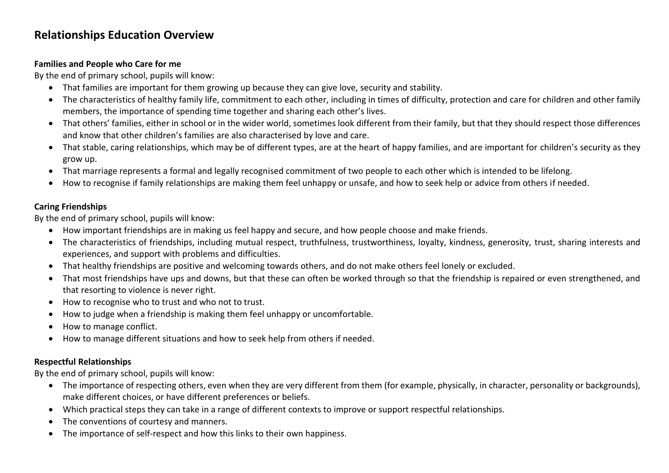# **Relationships Education Overview**

### **Families and People who Care for me**

By the end of primary school, pupils will know:

- That families are important for them growing up because they can give love, security and stability.
- The characteristics of healthy family life, commitment to each other, including in times of difficulty, protection and care for children and other family members, the importance of spending time together and sharing each other's lives.
- That others' families, either in school or in the wider world, sometimes look different from their family, but that they should respect those differences and know that other children's families are also characterised by love and care.
- That stable, caring relationships, which may be of different types, are at the heart of happy families, and are important for children's security as they grow up.
- That marriage represents a formal and legally recognised commitment of two people to each other which is intended to be lifelong.
- How to recognise if family relationships are making them feel unhappy or unsafe, and how to seek help or advice from others if needed.

#### **Caring Friendships**

By the end of primary school, pupils will know:

- How important friendships are in making us feel happy and secure, and how people choose and make friends.
- The characteristics of friendships, including mutual respect, truthfulness, trustworthiness, loyalty, kindness, generosity, trust, sharing interests and experiences, and support with problems and difficulties.
- That healthy friendships are positive and welcoming towards others, and do not make others feel lonely or excluded.
- That most friendships have ups and downs, but that these can often be worked through so that the friendship is repaired or even strengthened, and that resorting to violence is never right.
- How to recognise who to trust and who not to trust.
- How to judge when a friendship is making them feel unhappy or uncomfortable.
- How to manage conflict.
- How to manage different situations and how to seek help from others if needed.

### **Respectful Relationships**

- The importance of respecting others, even when they are very different from them (for example, physically, in character, personality or backgrounds), make different choices, or have different preferences or beliefs.
- Which practical steps they can take in a range of different contexts to improve or support respectful relationships.
- The conventions of courtesy and manners.
- The importance of self-respect and how this links to their own happiness.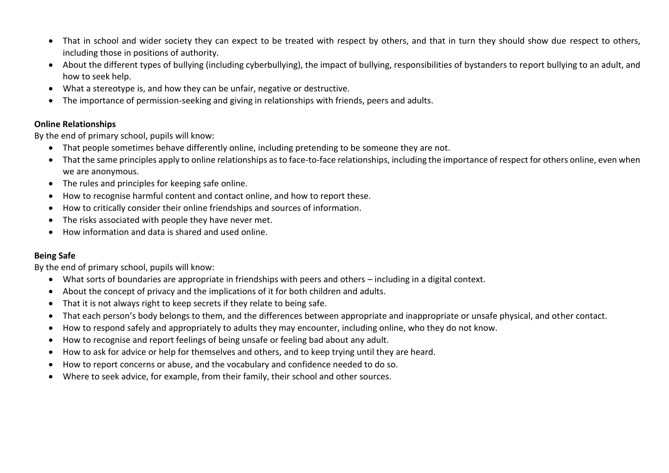- That in school and wider society they can expect to be treated with respect by others, and that in turn they should show due respect to others, including those in positions of authority.
- About the different types of bullying (including cyberbullying), the impact of bullying, responsibilities of bystanders to report bullying to an adult, and how to seek help.
- What a stereotype is, and how they can be unfair, negative or destructive.
- The importance of permission-seeking and giving in relationships with friends, peers and adults.

### **Online Relationships**

By the end of primary school, pupils will know:

- That people sometimes behave differently online, including pretending to be someone they are not.
- That the same principles apply to online relationships as to face-to-face relationships, including the importance of respect for others online, even when we are anonymous.
- The rules and principles for keeping safe online.
- How to recognise harmful content and contact online, and how to report these.
- How to critically consider their online friendships and sources of information.
- The risks associated with people they have never met.
- How information and data is shared and used online.

## **Being Safe**

- What sorts of boundaries are appropriate in friendships with peers and others including in a digital context.
- About the concept of privacy and the implications of it for both children and adults.
- That it is not always right to keep secrets if they relate to being safe.
- That each person's body belongs to them, and the differences between appropriate and inappropriate or unsafe physical, and other contact.
- How to respond safely and appropriately to adults they may encounter, including online, who they do not know.
- How to recognise and report feelings of being unsafe or feeling bad about any adult.
- How to ask for advice or help for themselves and others, and to keep trying until they are heard.
- How to report concerns or abuse, and the vocabulary and confidence needed to do so.
- Where to seek advice, for example, from their family, their school and other sources.